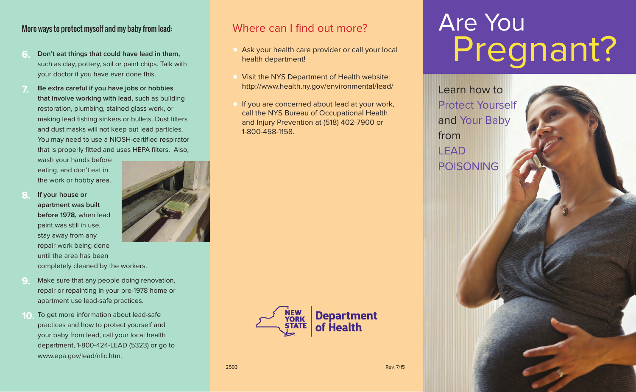#### More ways to protect myself and my baby from lead:

- **6. Don't eat things that could have lead in them,** such as clay, pottery, soil or paint chips. Talk with your doctor if you have ever done this.
- **7. Be extra careful if you have jobs or hobbies that involve working with lead,** such as building restoration, plumbing, stained glass work, or making lead fishing sinkers or bullets. Dust filters and dust masks will not keep out lead particles. You may need to use a NIOSH-certified respirator that is properly fitted and uses HEPA filters. Also,

wash your hands before eating, and don't eat in the work or hobby area.

- **8. If your house or apartment was built before 1978,** when lead paint was still in use, stay away from any repair work being done until the area has been completely cleaned by the workers.
- **9.** Make sure that any people doing renovation, repair or repainting in your pre-1978 home or apartment use lead-safe practices.
- **10.** To get more information about lead-safe practices and how to protect yourself and your baby from lead, call your local health department, 1-800-424-LEAD (5323) or go to www.epa.gov/lead/nlic.htm.



#### Where can I find out more?

- **•** Ask your health care provider or call your local health department!
- **•** Visit the NYS Department of Health website: http://www.health.ny.gov/environmental/lead/
- **•** If you are concerned about lead at your work, call the NYS Bureau of Occupational Health and Injury Prevention at (518) 402-7900 or 1-800-458-1158.



Learn how to Protect Yourself and Your Baby from LEAD POISONING



2593 Rev. 7/15